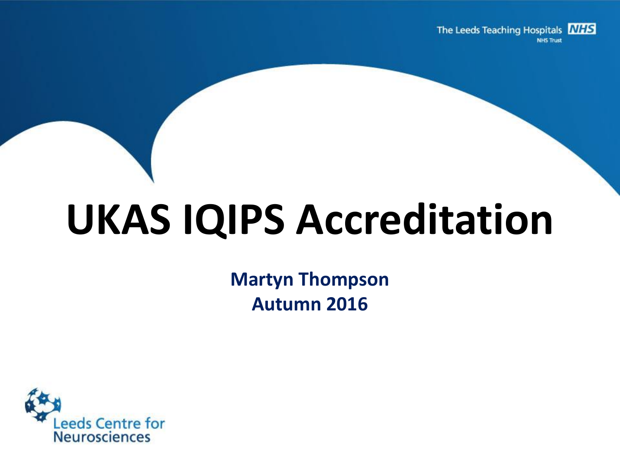The Leeds Teaching Hospitals **NHS NHS Trust** 

# **UKAS IQIPS Accreditation**

**Martyn Thompson Autumn 2016**

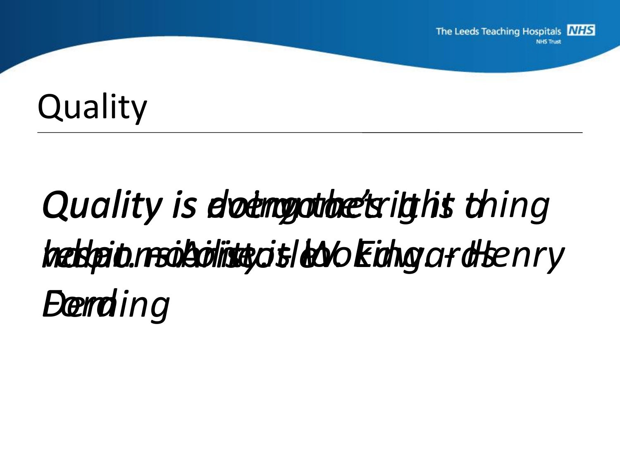## **Quality**

# Quality is elet anyworket right thing *when no one is looking. - Henry responsibility. - W. Edwards habit. – Aristotle Ford Deming*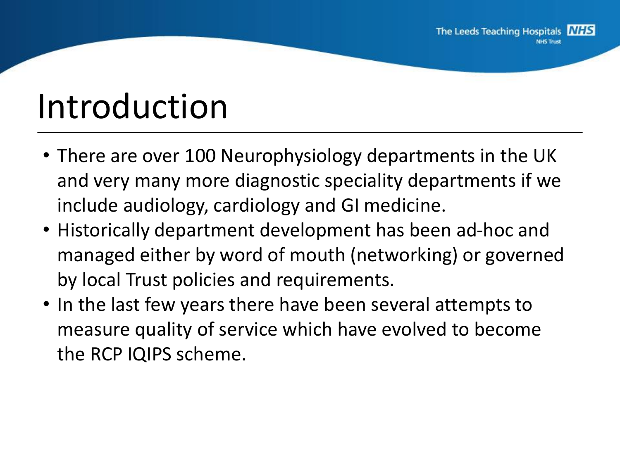## Introduction

- There are over 100 Neurophysiology departments in the UK and very many more diagnostic speciality departments if we include audiology, cardiology and GI medicine.
- Historically department development has been ad-hoc and managed either by word of mouth (networking) or governed by local Trust policies and requirements.
- In the last few years there have been several attempts to measure quality of service which have evolved to become the RCP IQIPS scheme.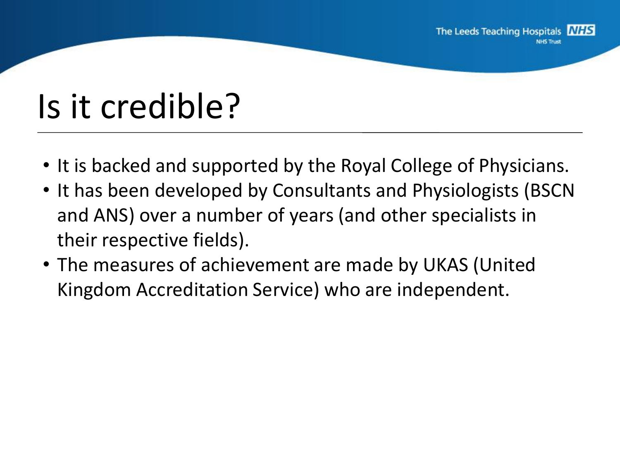# Is it credible?

- It is backed and supported by the Royal College of Physicians.
- It has been developed by Consultants and Physiologists (BSCN and ANS) over a number of years (and other specialists in their respective fields).
- The measures of achievement are made by UKAS (United Kingdom Accreditation Service) who are independent.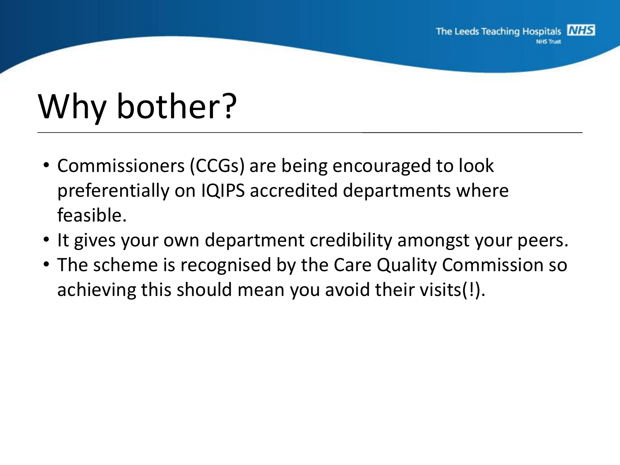# Why bother?

- Commissioners (CCGs) are being encouraged to look preferentially on IQIPS accredited departments where feasible.
- It gives your own department credibility amongst your peers.
- The scheme is recognised by the Care Quality Commission so achieving this should mean you avoid their visits(!).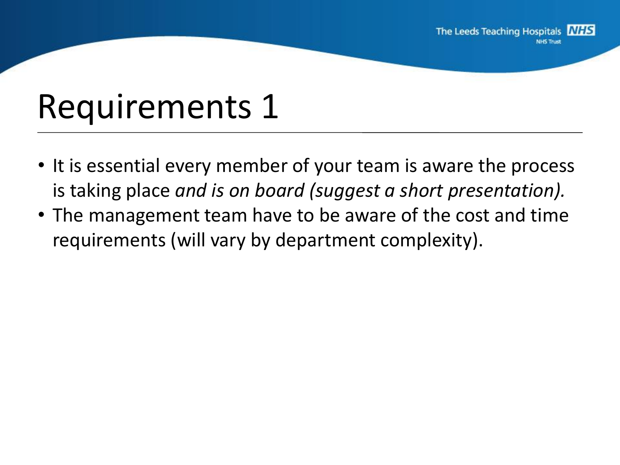#### Requirements 1

- It is essential every member of your team is aware the process is taking place *and is on board (suggest a short presentation).*
- The management team have to be aware of the cost and time requirements (will vary by department complexity).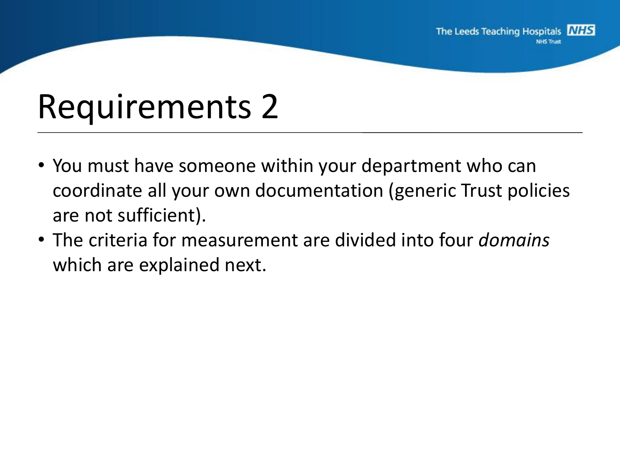#### Requirements 2

- You must have someone within your department who can coordinate all your own documentation (generic Trust policies are not sufficient).
- The criteria for measurement are divided into four *domains* which are explained next.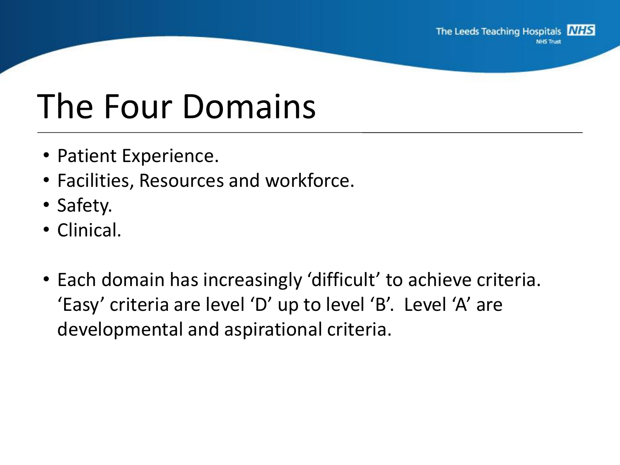## The Four Domains

- Patient Experience.
- Facilities, Resources and workforce.
- Safety.
- Clinical.
- Each domain has increasingly 'difficult' to achieve criteria. 'Easy' criteria are level 'D' up to level 'B'. Level 'A' are developmental and aspirational criteria.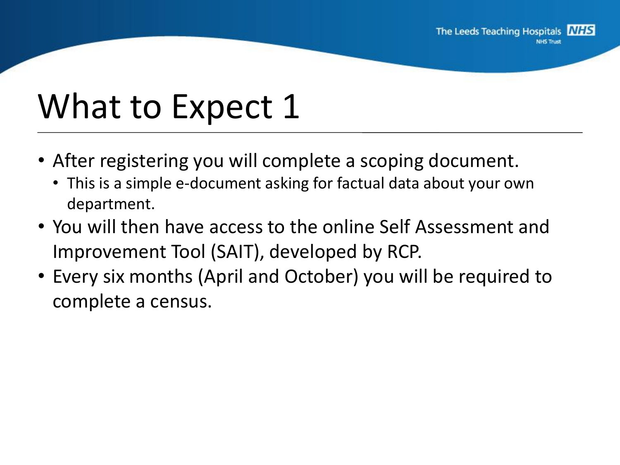#### What to Expect 1

- After registering you will complete a scoping document.
	- This is a simple e-document asking for factual data about your own department.
- You will then have access to the online Self Assessment and Improvement Tool (SAIT), developed by RCP.
- Every six months (April and October) you will be required to complete a census.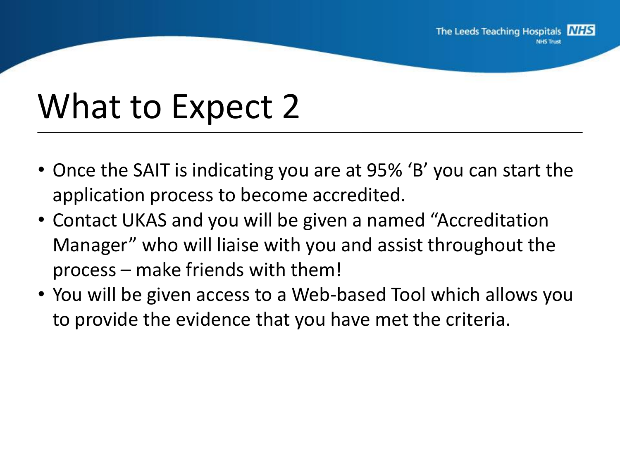#### What to Expect 2

- Once the SAIT is indicating you are at 95% 'B' you can start the application process to become accredited.
- Contact UKAS and you will be given a named "Accreditation Manager" who will liaise with you and assist throughout the process – make friends with them!
- You will be given access to a Web-based Tool which allows you to provide the evidence that you have met the criteria.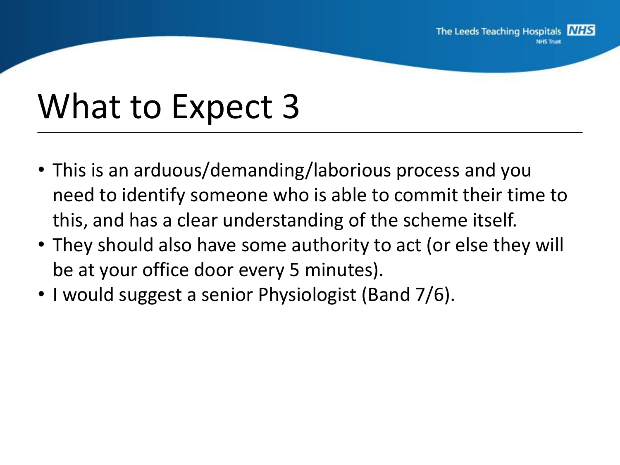#### What to Expect 3

- This is an arduous/demanding/laborious process and you need to identify someone who is able to commit their time to this, and has a clear understanding of the scheme itself.
- They should also have some authority to act (or else they will be at your office door every 5 minutes).
- I would suggest a senior Physiologist (Band 7/6).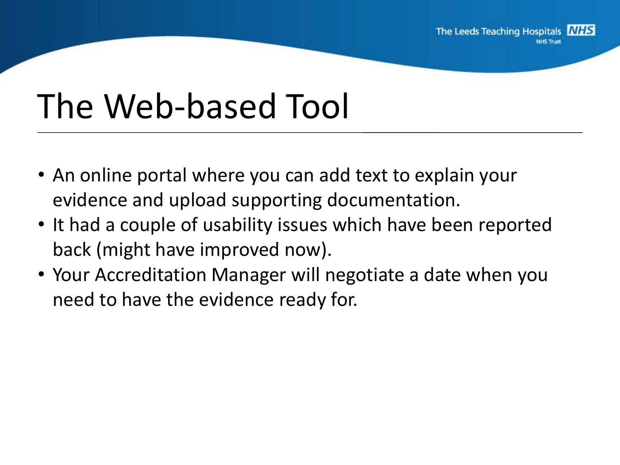#### The Web-based Tool

- An online portal where you can add text to explain your evidence and upload supporting documentation.
- It had a couple of usability issues which have been reported back (might have improved now).
- Your Accreditation Manager will negotiate a date when you need to have the evidence ready for.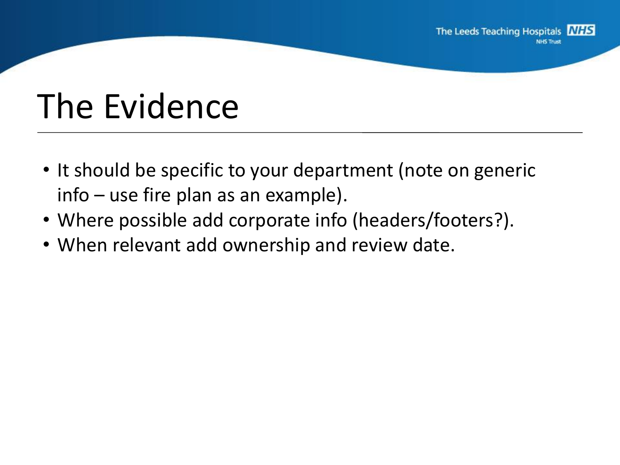## The Evidence

- It should be specific to your department (note on generic info – use fire plan as an example).
- Where possible add corporate info (headers/footers?).
- When relevant add ownership and review date.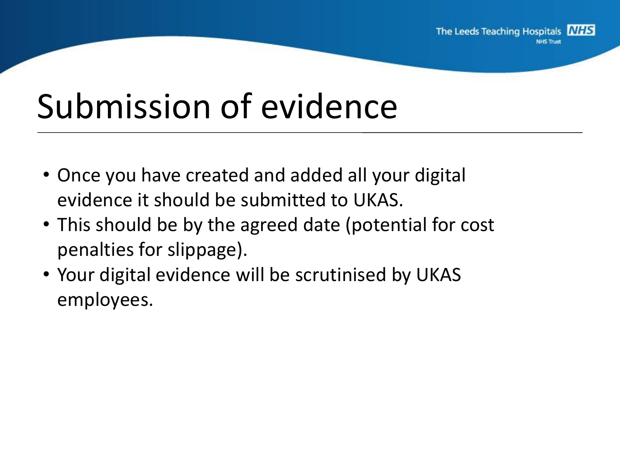## Submission of evidence

- Once you have created and added all your digital evidence it should be submitted to UKAS.
- This should be by the agreed date (potential for cost penalties for slippage).
- Your digital evidence will be scrutinised by UKAS employees.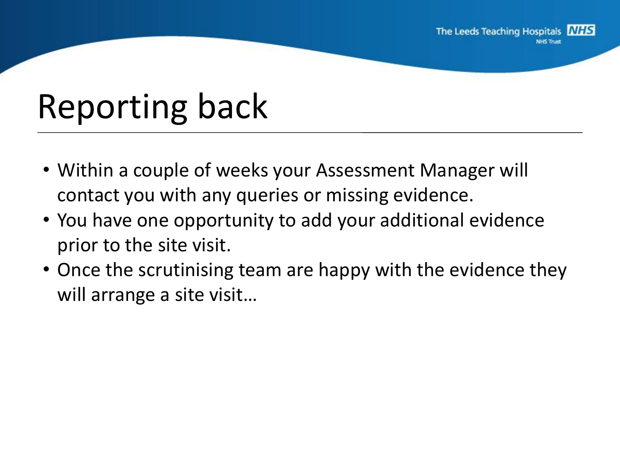# Reporting back

- Within a couple of weeks your Assessment Manager will contact you with any queries or missing evidence.
- You have one opportunity to add your additional evidence prior to the site visit.
- Once the scrutinising team are happy with the evidence they will arrange a site visit…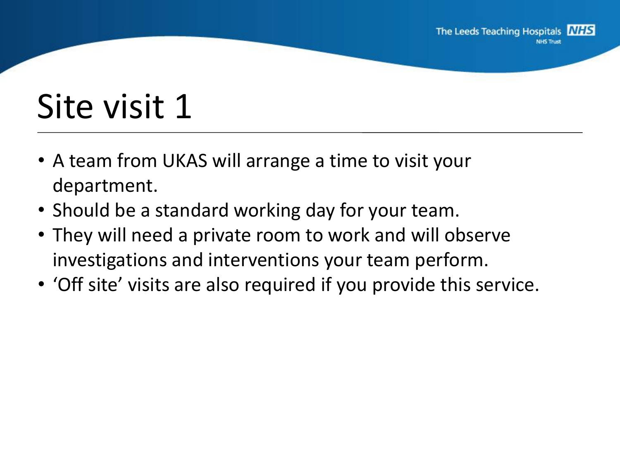# Site visit 1

- A team from UKAS will arrange a time to visit your department.
- Should be a standard working day for your team.
- They will need a private room to work and will observe investigations and interventions your team perform.
- 'Off site' visits are also required if you provide this service.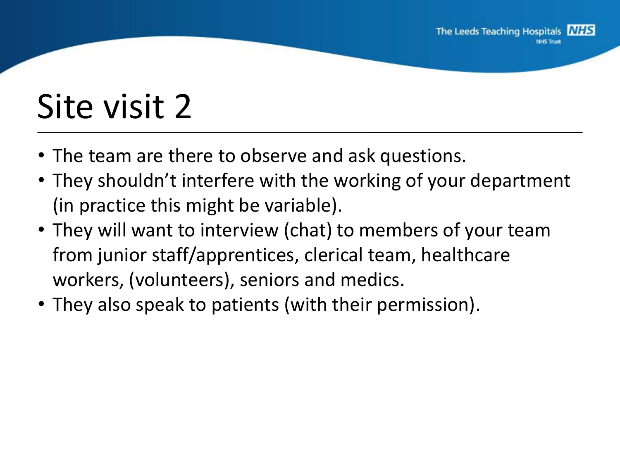# Site visit 2

- The team are there to observe and ask questions.
- They shouldn't interfere with the working of your department (in practice this might be variable).
- They will want to interview (chat) to members of your team from junior staff/apprentices, clerical team, healthcare workers, (volunteers), seniors and medics.
- They also speak to patients (with their permission).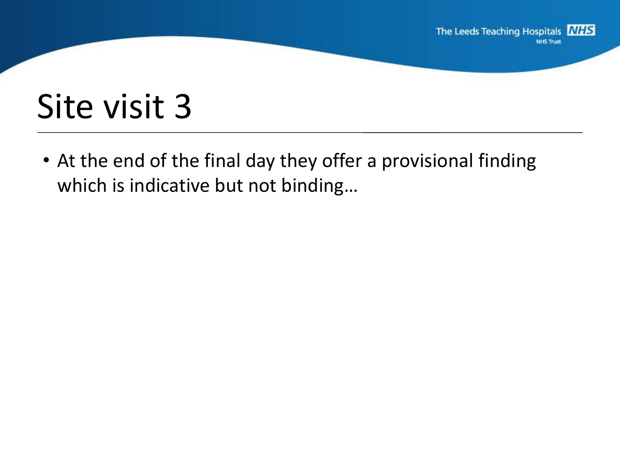

#### Site visit 3

• At the end of the final day they offer a provisional finding which is indicative but not binding…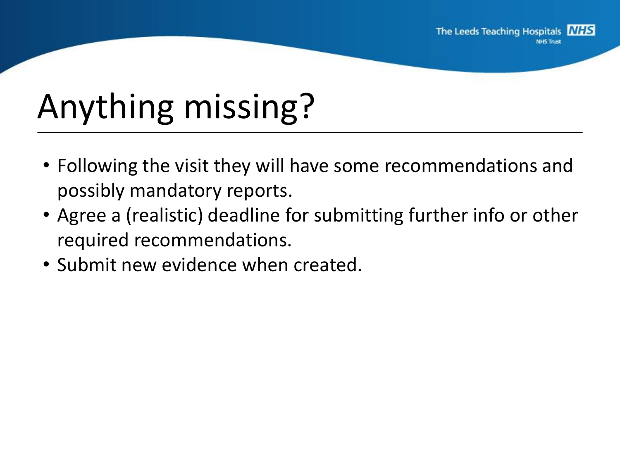# Anything missing?

- Following the visit they will have some recommendations and possibly mandatory reports.
- Agree a (realistic) deadline for submitting further info or other required recommendations.
- Submit new evidence when created.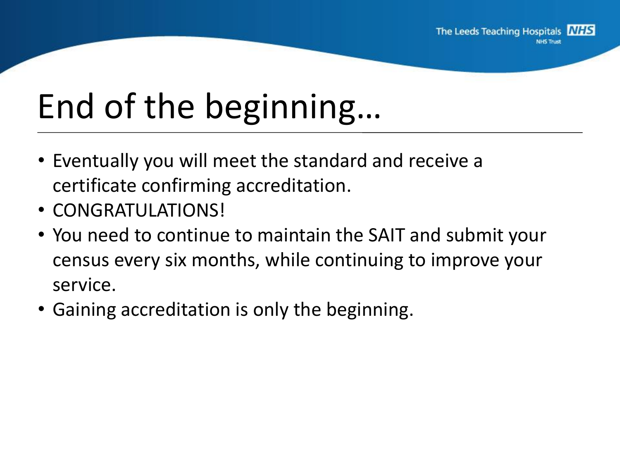# End of the beginning…

- Eventually you will meet the standard and receive a certificate confirming accreditation.
- CONGRATULATIONS!
- You need to continue to maintain the SAIT and submit your census every six months, while continuing to improve your service.
- Gaining accreditation is only the beginning.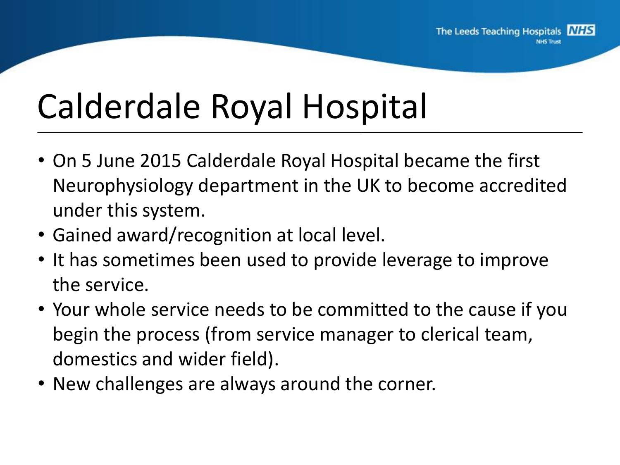# Calderdale Royal Hospital

- On 5 June 2015 Calderdale Royal Hospital became the first Neurophysiology department in the UK to become accredited under this system.
- Gained award/recognition at local level.
- It has sometimes been used to provide leverage to improve the service.
- Your whole service needs to be committed to the cause if you begin the process (from service manager to clerical team, domestics and wider field).
- New challenges are always around the corner.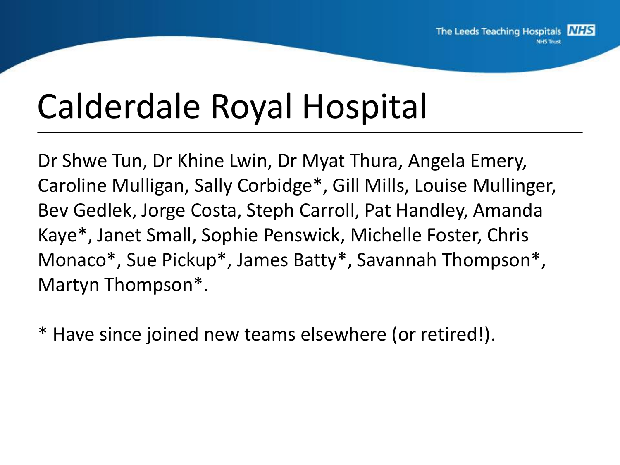## Calderdale Royal Hospital

Dr Shwe Tun, Dr Khine Lwin, Dr Myat Thura, Angela Emery, Caroline Mulligan, Sally Corbidge\*, Gill Mills, Louise Mullinger, Bev Gedlek, Jorge Costa, Steph Carroll, Pat Handley, Amanda Kaye\*, Janet Small, Sophie Penswick, Michelle Foster, Chris Monaco\*, Sue Pickup\*, James Batty\*, Savannah Thompson\*, Martyn Thompson\*.

\* Have since joined new teams elsewhere (or retired!).